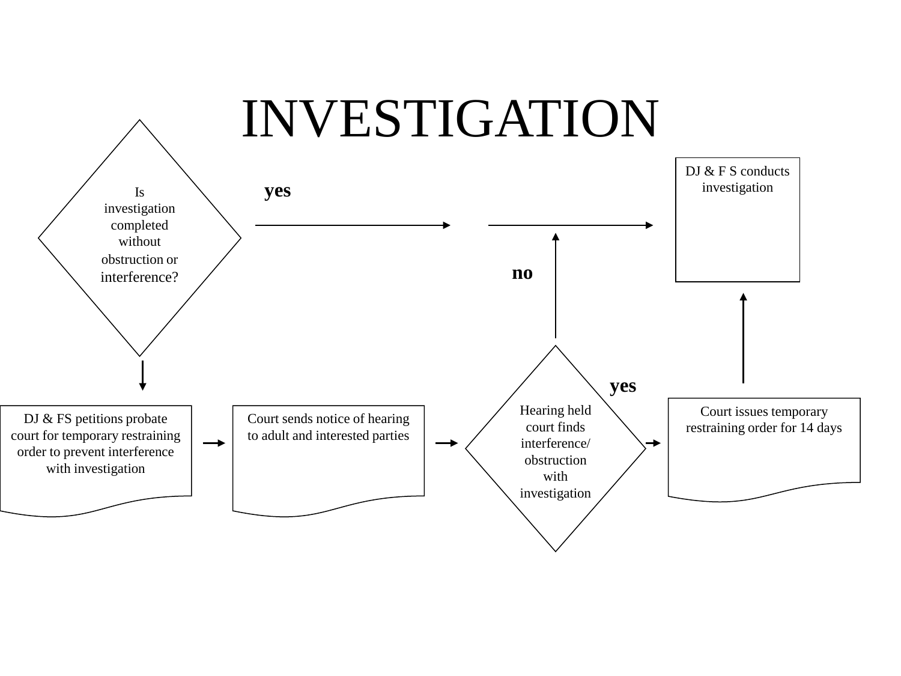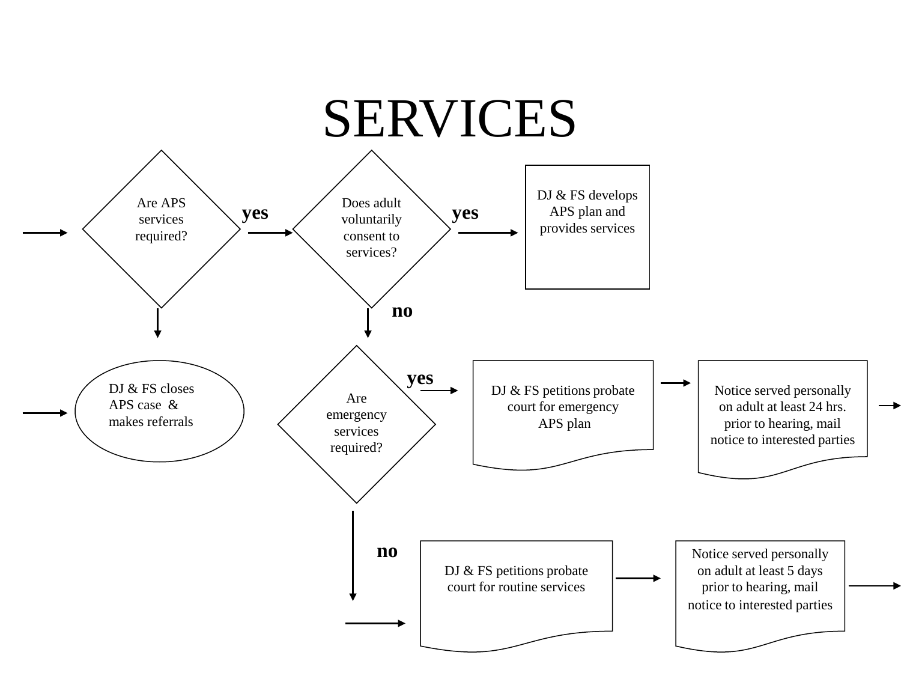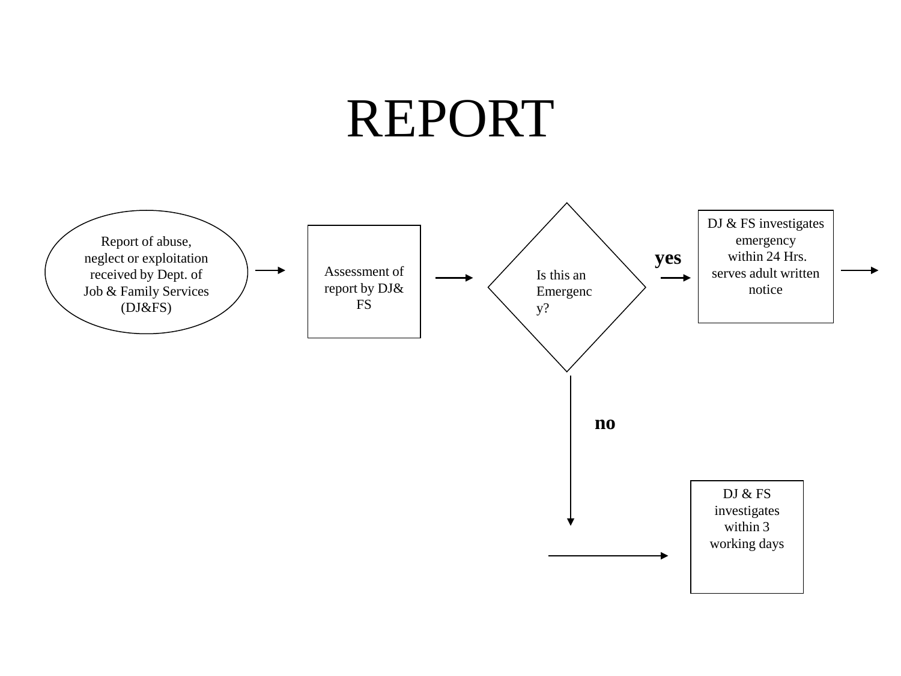## REPORT